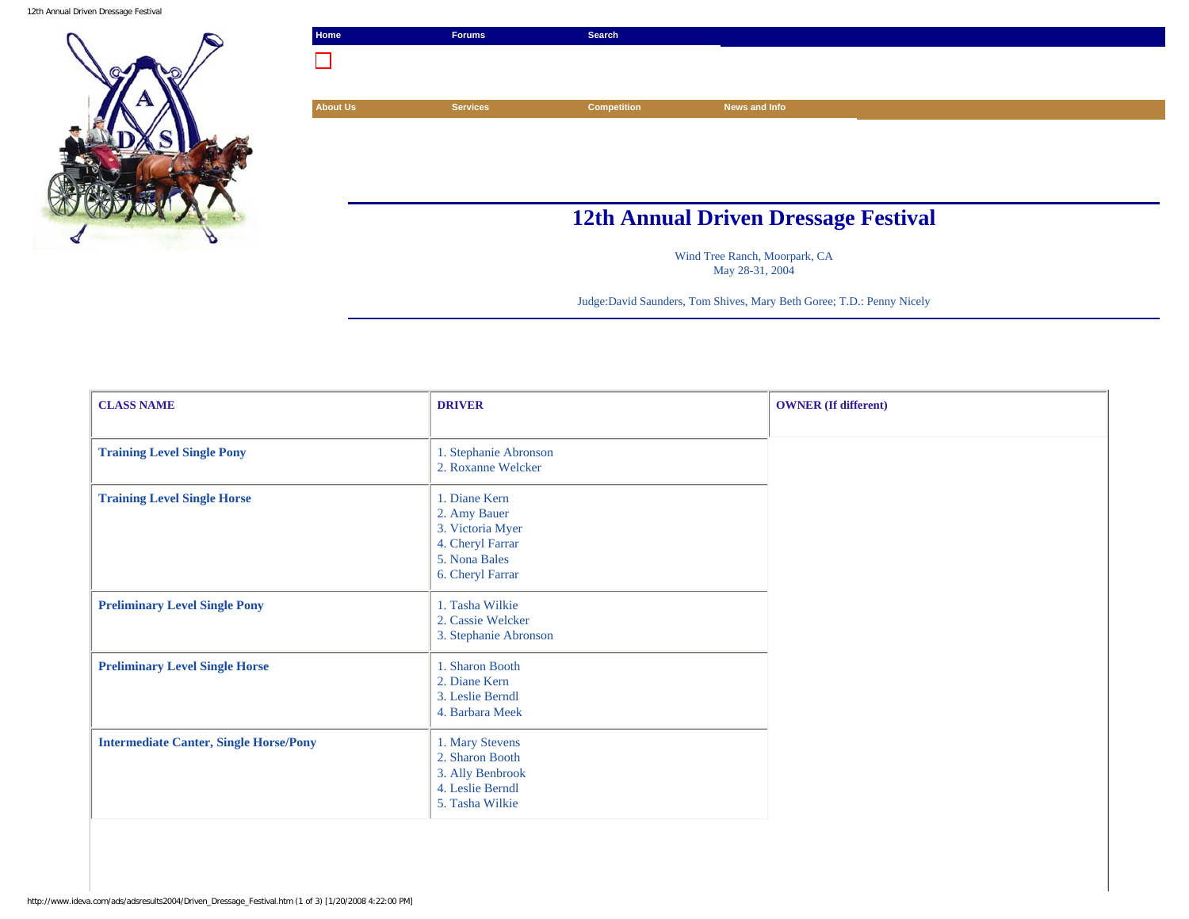12th Annual Driven Dressage Festival



| Home                                        | <b>Forums</b>   | Search             |               |  |
|---------------------------------------------|-----------------|--------------------|---------------|--|
|                                             |                 |                    |               |  |
|                                             |                 |                    |               |  |
| <b>About Us</b>                             | <b>Services</b> | <b>Competition</b> | News and Info |  |
|                                             |                 |                    |               |  |
|                                             |                 |                    |               |  |
|                                             |                 |                    |               |  |
|                                             |                 |                    |               |  |
| <b>12th Annual Driven Dressage Festival</b> |                 |                    |               |  |

Wind Tree Ranch, Moorpark, CA May 28-31, 2004

Judge:David Saunders, Tom Shives, Mary Beth Goree; T.D.: Penny Nicely

| <b>CLASS NAME</b>                             | <b>DRIVER</b>                                                                                              | <b>OWNER</b> (If different) |
|-----------------------------------------------|------------------------------------------------------------------------------------------------------------|-----------------------------|
|                                               |                                                                                                            |                             |
| <b>Training Level Single Pony</b>             | 1. Stephanie Abronson<br>2. Roxanne Welcker                                                                |                             |
| <b>Training Level Single Horse</b>            | 1. Diane Kern<br>2. Amy Bauer<br>3. Victoria Myer<br>4. Cheryl Farrar<br>5. Nona Bales<br>6. Cheryl Farrar |                             |
| <b>Preliminary Level Single Pony</b>          | 1. Tasha Wilkie<br>2. Cassie Welcker<br>3. Stephanie Abronson                                              |                             |
| <b>Preliminary Level Single Horse</b>         | 1. Sharon Booth<br>2. Diane Kern<br>3. Leslie Berndl<br>4. Barbara Meek                                    |                             |
| <b>Intermediate Canter, Single Horse/Pony</b> | 1. Mary Stevens<br>2. Sharon Booth<br>3. Ally Benbrook<br>4. Leslie Berndl<br>5. Tasha Wilkie              |                             |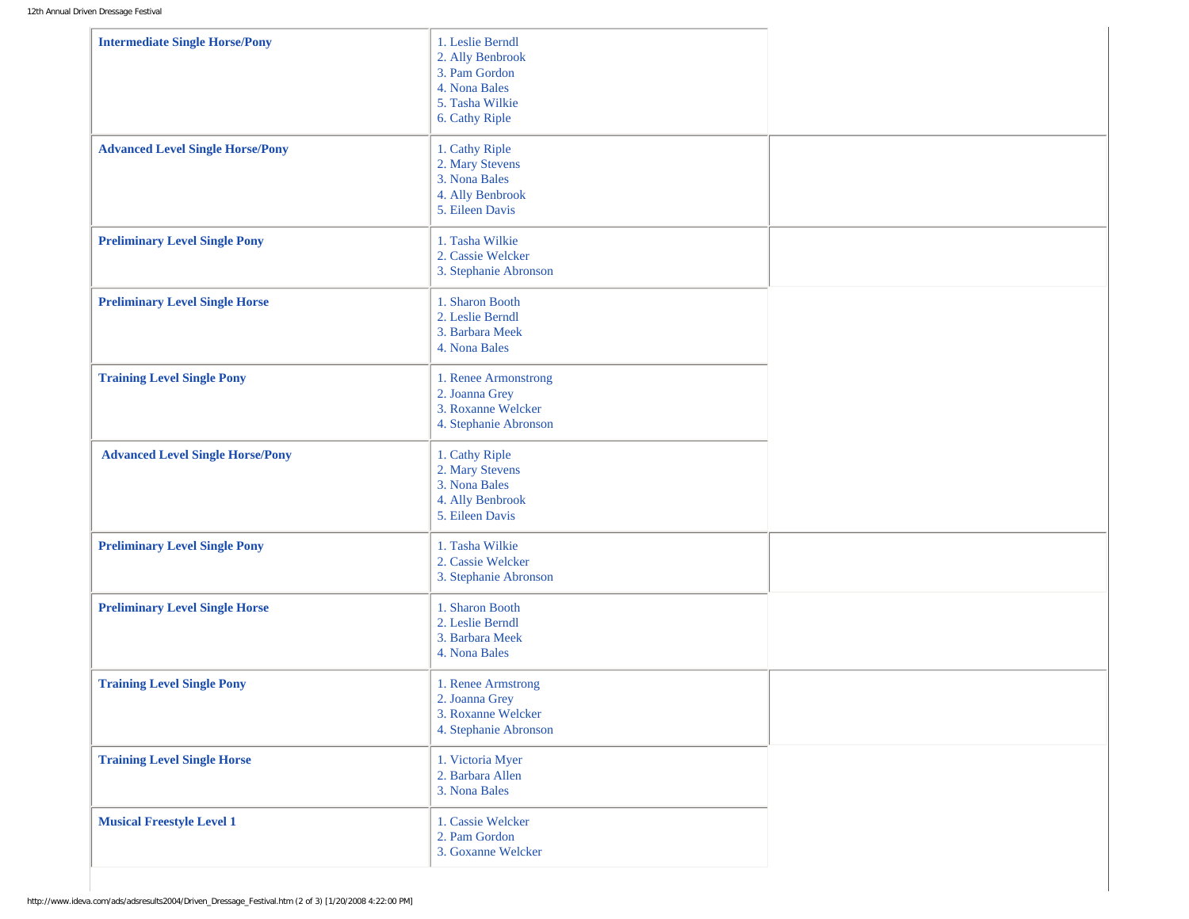| <b>Intermediate Single Horse/Pony</b>   | 1. Leslie Berndl<br>2. Ally Benbrook<br>3. Pam Gordon<br>4. Nona Bales<br>5. Tasha Wilkie<br>6. Cathy Riple |  |
|-----------------------------------------|-------------------------------------------------------------------------------------------------------------|--|
| <b>Advanced Level Single Horse/Pony</b> | 1. Cathy Riple<br>2. Mary Stevens<br>3. Nona Bales<br>4. Ally Benbrook<br>5. Eileen Davis                   |  |
| <b>Preliminary Level Single Pony</b>    | 1. Tasha Wilkie<br>2. Cassie Welcker<br>3. Stephanie Abronson                                               |  |
| <b>Preliminary Level Single Horse</b>   | 1. Sharon Booth<br>2. Leslie Berndl<br>3. Barbara Meek<br>4. Nona Bales                                     |  |
| <b>Training Level Single Pony</b>       | 1. Renee Armonstrong<br>2. Joanna Grey<br>3. Roxanne Welcker<br>4. Stephanie Abronson                       |  |
| <b>Advanced Level Single Horse/Pony</b> | 1. Cathy Riple<br>2. Mary Stevens<br>3. Nona Bales<br>4. Ally Benbrook<br>5. Eileen Davis                   |  |
| <b>Preliminary Level Single Pony</b>    | 1. Tasha Wilkie<br>2. Cassie Welcker<br>3. Stephanie Abronson                                               |  |
| <b>Preliminary Level Single Horse</b>   | 1. Sharon Booth<br>2. Leslie Berndl<br>3. Barbara Meek<br>4. Nona Bales                                     |  |
| <b>Training Level Single Pony</b>       | 1. Renee Armstrong<br>2. Joanna Grey<br>3. Roxanne Welcker<br>4. Stephanie Abronson                         |  |
| <b>Training Level Single Horse</b>      | 1. Victoria Myer<br>2. Barbara Allen<br>3. Nona Bales                                                       |  |
| <b>Musical Freestyle Level 1</b>        | 1. Cassie Welcker<br>2. Pam Gordon<br>3. Goxanne Welcker                                                    |  |